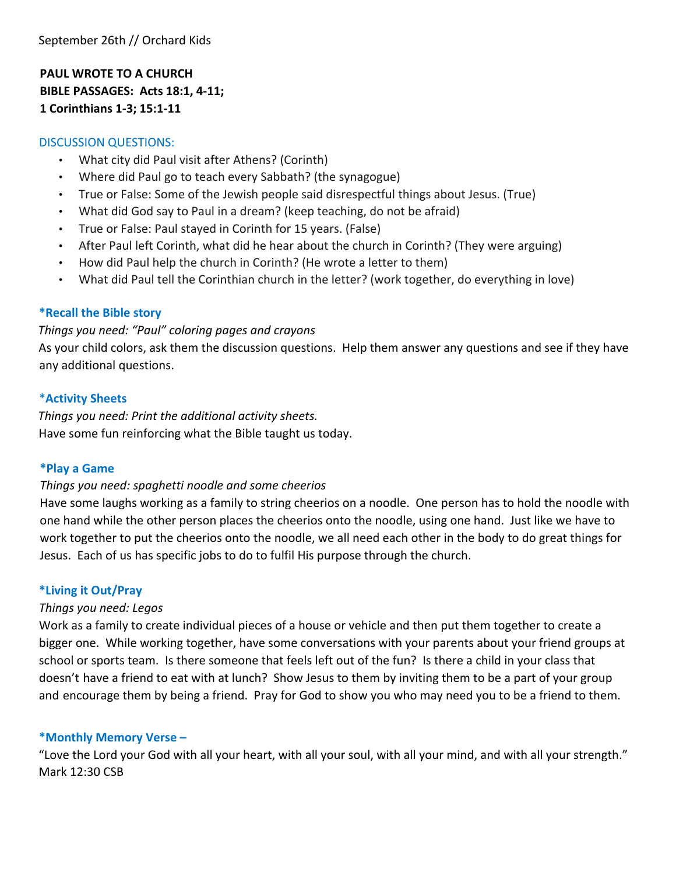**PAUL WROTE TO A CHURCH BIBLE PASSAGES: Acts 18:1, 4-11; 1 Corinthians 1-3; 15:1-11**

#### DISCUSSION QUESTIONS:

- What city did Paul visit after Athens? (Corinth)
- Where did Paul go to teach every Sabbath? (the synagogue)
- True or False: Some of the Jewish people said disrespectful things about Jesus. (True)
- What did God say to Paul in a dream? (keep teaching, do not be afraid)
- True or False: Paul stayed in Corinth for 15 years. (False)
- After Paul left Corinth, what did he hear about the church in Corinth? (They were arguing)
- How did Paul help the church in Corinth? (He wrote a letter to them)
- What did Paul tell the Corinthian church in the letter? (work together, do everything in love)

#### **\*Recall the Bible story**

#### *Things you need: "Paul" coloring pages and crayons*

As your child colors, ask them the discussion questions. Help them answer any questions and see if they have any additional questions.

#### \***Activity Sheets**

*Things you need: Print the additional activity sheets.*  Have some fun reinforcing what the Bible taught us today.

#### **\*Play a Game**

#### *Things you need: spaghetti noodle and some cheerios*

Have some laughs working as a family to string cheerios on a noodle. One person has to hold the noodle with one hand while the other person places the cheerios onto the noodle, using one hand. Just like we have to work together to put the cheerios onto the noodle, we all need each other in the body to do great things for Jesus. Each of us has specific jobs to do to fulfil His purpose through the church.

#### $*$  Living it Out/Pray

#### *Things you need: Legos*

Work as a family to create individual pieces of a house or vehicle and then put them together to create a bigger one. While working together, have some conversations with your parents about your friend groups at school or sports team. Is there someone that feels left out of the fun? Is there a child in your class that doesn't have a friend to eat with at lunch? Show Jesus to them by inviting them to be a part of your group and encourage them by being a friend. Pray for God to show you who may need you to be a friend to them.

#### **\*Monthly Memory Verse –**

"Love the Lord your God with all your heart, with all your soul, with all your mind, and with all your strength." Mark 12:30 CSB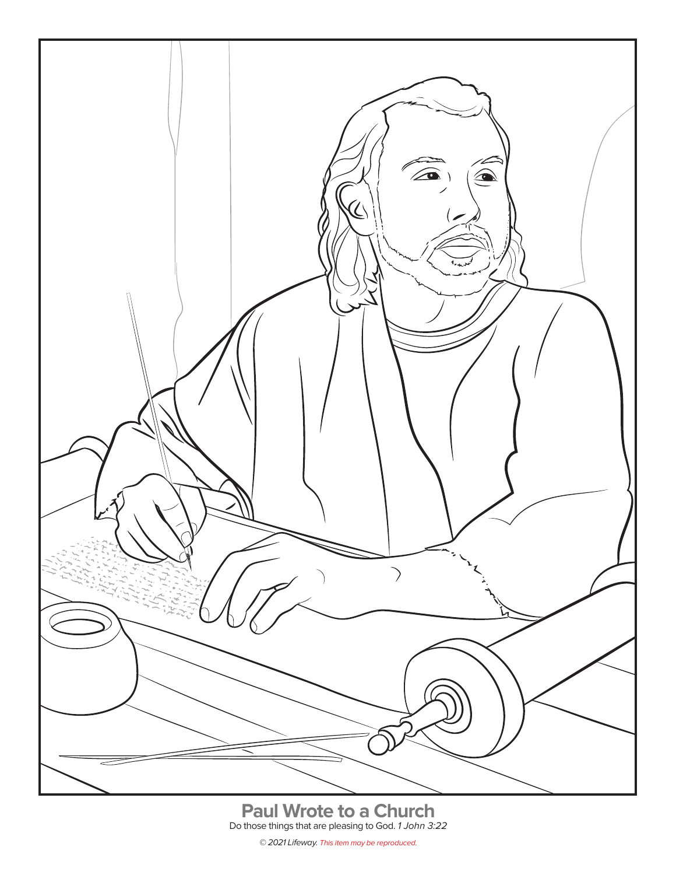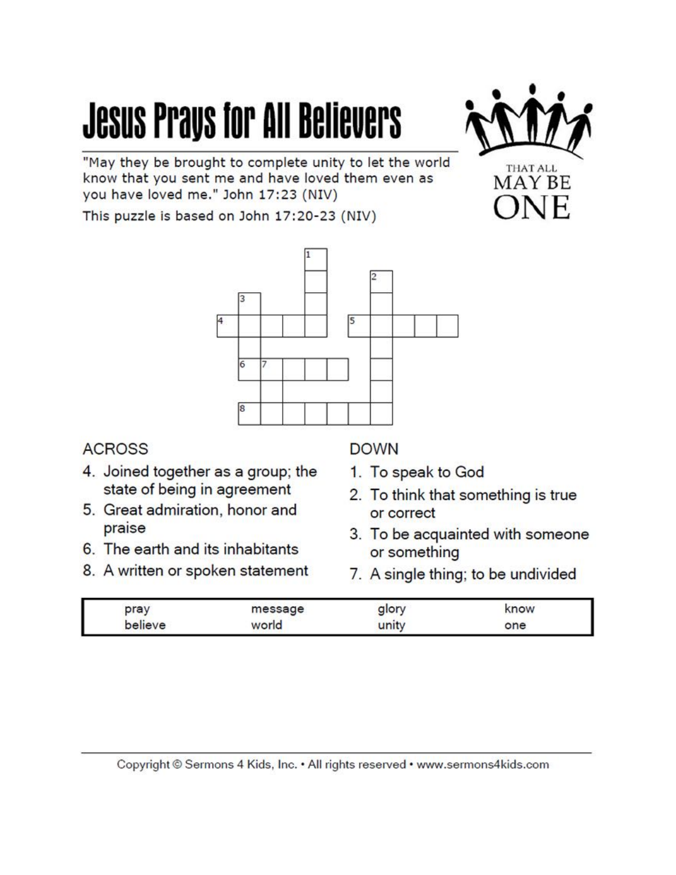# **Jesus Prays for All Believers**



"May they be brought to complete unity to let the world know that you sent me and have loved them even as you have loved me." John 17:23 (NIV)

This puzzle is based on John 17:20-23 (NIV)



### **ACROSS**

- 4. Joined together as a group; the state of being in agreement
- 5. Great admiration, honor and praise
- 6. The earth and its inhabitants
- 8. A written or spoken statement

### **DOWN**

- 1. To speak to God
- 2. To think that something is true or correct
- 3. To be acquainted with someone or something
- 7. A single thing; to be undivided

| pray    | the property of the company of the<br>000000 | now<br>Service Contractor |  |
|---------|----------------------------------------------|---------------------------|--|
| nЕ<br>∼ | па                                           | one                       |  |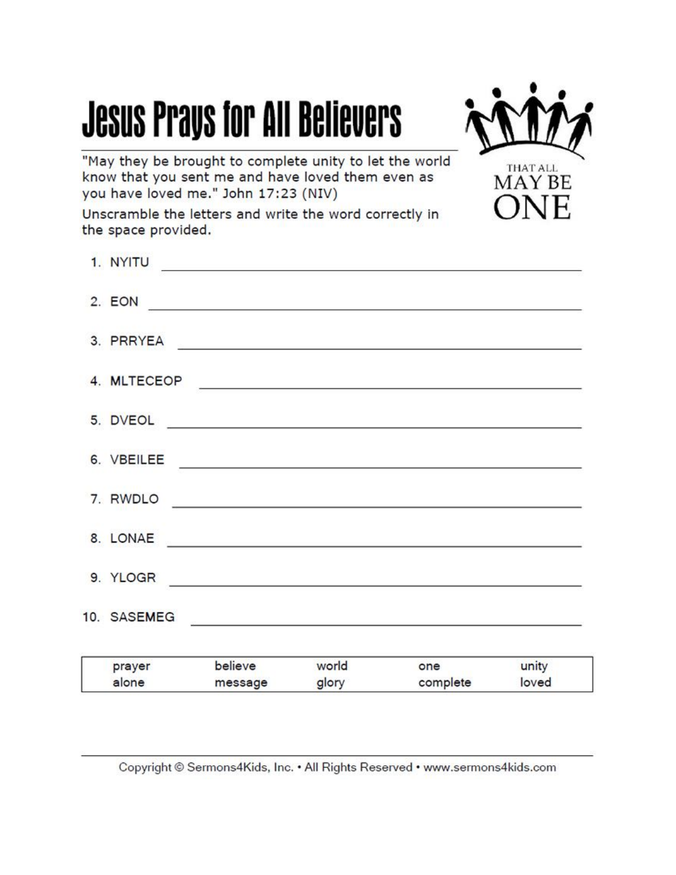## **Jesus Prays for All Believers**



"May they be brought to complete unity to let the world know that you sent me and have loved them even as you have loved me." John 17:23 (NIV)

Unscramble the letters and write the word correctly in the space provided.

|  | prayer believe world<br>alone message | one unity<br>glory complete loved                                                                                                                                                                                                    |  |
|--|---------------------------------------|--------------------------------------------------------------------------------------------------------------------------------------------------------------------------------------------------------------------------------------|--|
|  |                                       |                                                                                                                                                                                                                                      |  |
|  | 9. YLOGR                              |                                                                                                                                                                                                                                      |  |
|  |                                       | 8. LONAE                                                                                                                                                                                                                             |  |
|  |                                       | 7. RWDLO                                                                                                                                                                                                                             |  |
|  |                                       |                                                                                                                                                                                                                                      |  |
|  |                                       | 5. DVEOL <b>International Contract of the Contract of the Contract of the Contract of the Contract of the Contract of the Contract of the Contract of the Contract of the Contract of the Contract of the Contract of the Contra</b> |  |
|  |                                       | 4. MLTECEOP                                                                                                                                                                                                                          |  |
|  |                                       | 3. PRRYEA                                                                                                                                                                                                                            |  |
|  |                                       |                                                                                                                                                                                                                                      |  |
|  |                                       | 1. NYITU                                                                                                                                                                                                                             |  |

Copyright © Sermons4Kids, Inc. . All Rights Reserved . www.sermons4kids.com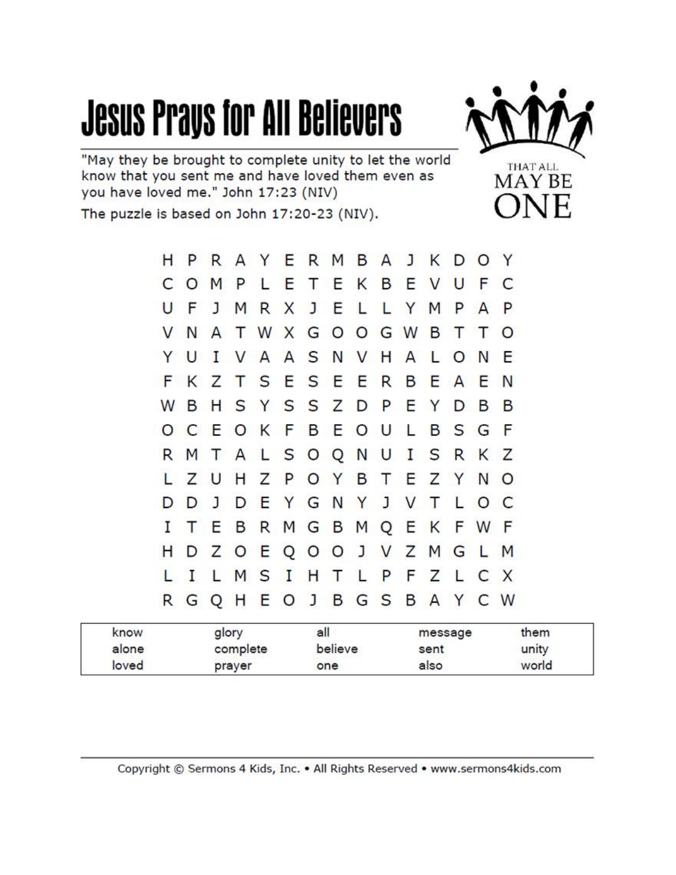### **Jesus Prays for All Believers**



"May they be brought to complete unity to let the world know that you sent me and have loved them even as you have loved me." John 17:23 (NIV)

The puzzle is based on John 17:20-23 (NIV).

|  |  |  |  |  | H P R A Y E R M B A J K D O Y |  |  |  |
|--|--|--|--|--|-------------------------------|--|--|--|
|  |  |  |  |  | <b>COMPLETEKBEVUFC</b>        |  |  |  |
|  |  |  |  |  | UFJMRXJELLYMPAP               |  |  |  |
|  |  |  |  |  | V N A T W X G O O G W B T T O |  |  |  |
|  |  |  |  |  | Y U I V A A S N V H A L O N E |  |  |  |
|  |  |  |  |  | F K Z T S E S E E R B E A E N |  |  |  |
|  |  |  |  |  | W B H S Y S S Z D P E Y D B B |  |  |  |
|  |  |  |  |  | O C E O K F B E O U L B S G F |  |  |  |
|  |  |  |  |  | R M T A L S O Q N U I S R K Z |  |  |  |
|  |  |  |  |  | L Z U H Z P O Y B T E Z Y N O |  |  |  |
|  |  |  |  |  | D D J D E Y G N Y J V T L O C |  |  |  |
|  |  |  |  |  | I T E B R M G B M Q E K F W F |  |  |  |
|  |  |  |  |  | H D Z O E Q O O J V Z M G L M |  |  |  |
|  |  |  |  |  | L I L M S I H T L P F Z L C X |  |  |  |
|  |  |  |  |  | R G Q H E O J B G S B A Y C W |  |  |  |

| know  | glory    | all     | message | them  |
|-------|----------|---------|---------|-------|
| alone | complete | believe | sent    | unity |
| loved | prayer   | one     | also    | world |

Copyright © Sermons 4 Kids, Inc. . All Rights Reserved . www.sermons4kids.com